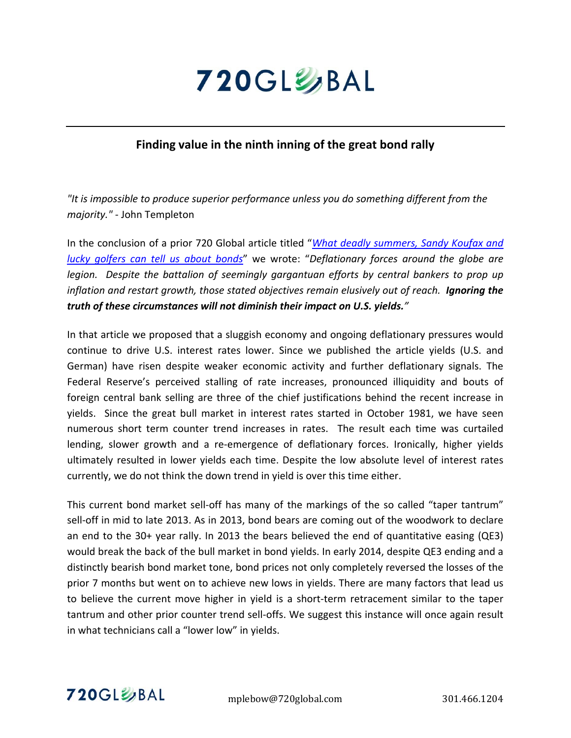

# **Finding value in the ninth inning of the great bond rally**

*"It is impossible to produce superior performance unless you do something different from the majority."* ‐ John Templeton

In the conclusion of a prior 720 Global article titled "*What deadly [summers,](www.720global.com) Sandy Koufax and lucky [golfers](www.720global.com) can tell us about bonds*" we wrote: "*Deflationary forces around the globe are legion. Despite the battalion of seemingly gargantuan efforts by central bankers to prop up inflation and restart growth, those stated objectives remain elusively out of reach. Ignoring the truth of these circumstances will not diminish their impact on U.S. yields."* 

In that article we proposed that a sluggish economy and ongoing deflationary pressures would continue to drive U.S. interest rates lower. Since we published the article yields (U.S. and German) have risen despite weaker economic activity and further deflationary signals. The Federal Reserve's perceived stalling of rate increases, pronounced illiquidity and bouts of foreign central bank selling are three of the chief justifications behind the recent increase in yields. Since the great bull market in interest rates started in October 1981, we have seen numerous short term counter trend increases in rates. The result each time was curtailed lending, slower growth and a re‐emergence of deflationary forces. Ironically, higher yields ultimately resulted in lower yields each time. Despite the low absolute level of interest rates currently, we do not think the down trend in yield is over this time either.

This current bond market sell-off has many of the markings of the so called "taper tantrum" sell-off in mid to late 2013. As in 2013, bond bears are coming out of the woodwork to declare an end to the 30+ year rally. In 2013 the bears believed the end of quantitative easing (QE3) would break the back of the bull market in bond yields. In early 2014, despite QE3 ending and a distinctly bearish bond market tone, bond prices not only completely reversed the losses of the prior 7 months but went on to achieve new lows in yields. There are many factors that lead us to believe the current move higher in yield is a short‐term retracement similar to the taper tantrum and other prior counter trend sell-offs. We suggest this instance will once again result in what technicians call a "lower low" in yields.

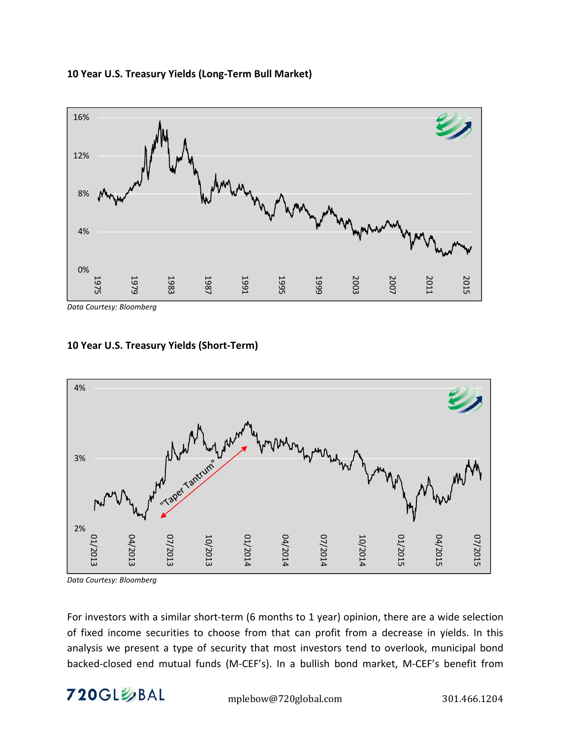



*Data Courtesy: Bloomberg*





*Data Courtesy: Bloomberg*

For investors with a similar short-term (6 months to 1 year) opinion, there are a wide selection of fixed income securities to choose from that can profit from a decrease in yields. In this analysis we present a type of security that most investors tend to overlook, municipal bond backed‐closed end mutual funds (M‐CEF's). In a bullish bond market, M‐CEF's benefit from

720GL%BAL mplebow@720global.com 301.466.1204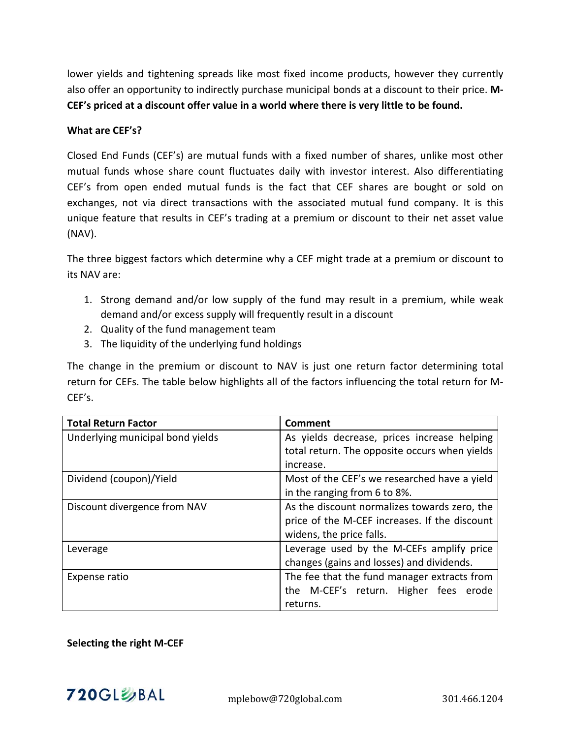lower yields and tightening spreads like most fixed income products, however they currently also offer an opportunity to indirectly purchase municipal bonds at a discount to their price. **M‐ CEF's priced at a discount offer value in a world where there is very little to be found.**

### **What are CEF's?**

Closed End Funds (CEF's) are mutual funds with a fixed number of shares, unlike most other mutual funds whose share count fluctuates daily with investor interest. Also differentiating CEF's from open ended mutual funds is the fact that CEF shares are bought or sold on exchanges, not via direct transactions with the associated mutual fund company. It is this unique feature that results in CEF's trading at a premium or discount to their net asset value (NAV).

The three biggest factors which determine why a CEF might trade at a premium or discount to its NAV are:

- 1. Strong demand and/or low supply of the fund may result in a premium, while weak demand and/or excess supply will frequently result in a discount
- 2. Quality of the fund management team
- 3. The liquidity of the underlying fund holdings

The change in the premium or discount to NAV is just one return factor determining total return for CEFs. The table below highlights all of the factors influencing the total return for M‐ CEF's.

| <b>Total Return Factor</b>       | Comment                                       |  |  |  |  |
|----------------------------------|-----------------------------------------------|--|--|--|--|
| Underlying municipal bond yields | As yields decrease, prices increase helping   |  |  |  |  |
|                                  | total return. The opposite occurs when yields |  |  |  |  |
|                                  | increase.                                     |  |  |  |  |
| Dividend (coupon)/Yield          | Most of the CEF's we researched have a yield  |  |  |  |  |
|                                  | in the ranging from 6 to 8%.                  |  |  |  |  |
| Discount divergence from NAV     | As the discount normalizes towards zero, the  |  |  |  |  |
|                                  | price of the M-CEF increases. If the discount |  |  |  |  |
|                                  | widens, the price falls.                      |  |  |  |  |
| Leverage                         | Leverage used by the M-CEFs amplify price     |  |  |  |  |
|                                  | changes (gains and losses) and dividends.     |  |  |  |  |
| Expense ratio                    | The fee that the fund manager extracts from   |  |  |  |  |
|                                  | the M-CEF's return. Higher fees erode         |  |  |  |  |
|                                  | returns.                                      |  |  |  |  |

## **Selecting the right M‐CEF**

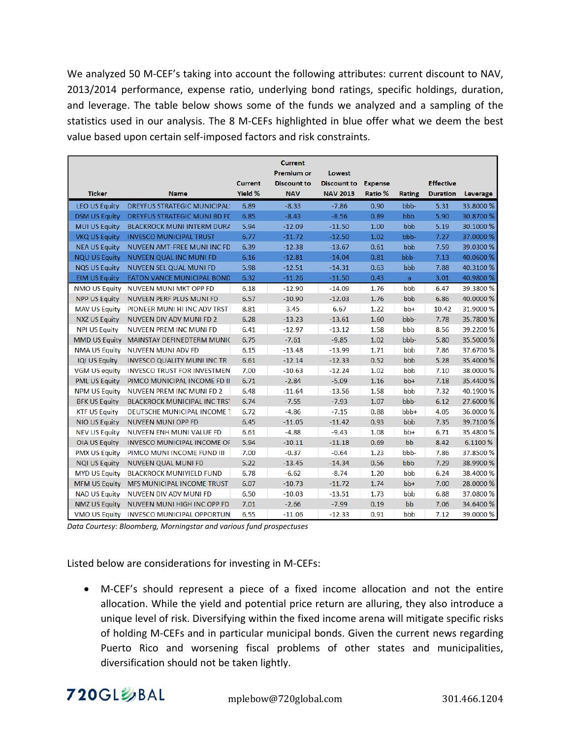We analyzed 50 M-CEF's taking into account the following attributes: current discount to NAV, 2013/2014 performance, expense ratio, underlying bond ratings, specific holdings, duration, and leverage. The table below shows some of the funds we analyzed and a sampling of the statistics used in our analysis. The 8 M‐CEFs highlighted in blue offer what we deem the best value based upon certain self‐imposed factors and risk constraints.

|                      |                                          |                | <b>Current</b><br><b>Premium or</b> | Lowest             |                |               |                  |           |
|----------------------|------------------------------------------|----------------|-------------------------------------|--------------------|----------------|---------------|------------------|-----------|
|                      |                                          | <b>Current</b> | <b>Discount to</b>                  | <b>Discount to</b> | <b>Expense</b> |               | <b>Effective</b> |           |
| <b>Ticker</b>        | <b>Name</b>                              | Yield %        | <b>NAV</b>                          | <b>NAV 2013</b>    | <b>Ratio %</b> | <b>Rating</b> | <b>Duration</b>  | Leverage  |
| <b>LEO US Equity</b> | <b>DREYFUS STRATEGIC MUNICIPAL:</b>      | 6.89           | $-8.33$                             | $-7.86$            | 0.90           | bbb-          | 5.31             | 33.8000 % |
| <b>DSM US Equity</b> | <b>DREYFUS STRATEGIC MUNI BD FE</b>      | 6.85           | $-8.43$                             | $-8.56$            | 0.89           | bbb           | 5.90             | 30.8700 % |
| <b>MUI US Equity</b> | <b>BLACKROCK MUNI INTERM DURA</b>        | 5.94           | $-12.09$                            | $-11.50$           | 1.00           | bbb           | 5.19             | 30.1000 % |
| <b>VKQ US Equity</b> | <b>INVESCO MUNICIPAL TRUST</b>           | 6.77           | $-11.72$                            | $-12.50$           | 1.02           | bbb-          | 7.27             | 37.0000 % |
| <b>NEA US Equity</b> | NUVEEN AMT-FREE MUNI INC FD              | 6.39           | $-12.38$                            | $-13.67$           | 0.61           | bbb           | 7.59             | 39.0300 % |
| <b>NQU US Equity</b> | <b>NUVEEN QUAL INC MUNI FD</b>           | 6.16           | $-12.81$                            | $-14.04$           | 0.81           | bbb-          | 7.13             | 40.0600 % |
| <b>NQS US Equity</b> | NUVEEN SEL QUAL MUNI FD                  | 5.98           | $-12.51$                            | $-14.31$           | 0.63           | bbb           | 7.88             | 40.3100 % |
| <b>EIM US Equity</b> | <b>EATON VANCE MUNICIPAL BOND</b>        | 6.32           | $-11.26$                            | $-11.50$           | 0.43           | a             | 3.01             | 40.9800 % |
| <b>NMO US Equity</b> | <b>NUVEEN MUNI MKT OPP FD</b>            | 6.18           | $-12.90$                            | $-14.09$           | 1.76           | bbb           | 6.47             | 39.3800 % |
| <b>NPP US Equity</b> | NUVEEN PERF PLUS MUNI FD                 | 6.57           | $-10.90$                            | $-12.03$           | 1.76           | bbb           | 6.86             | 40.0000 % |
| <b>MAV US Equity</b> | PIONEER MUNI HI INC ADV TRST             | 8.81           | 3.45                                | 6.67               | 1.22           | $bb+$         | 10.42            | 31.9000 % |
| <b>NXZ US Equity</b> | NUVEEN DIV ADV MUNI FD 2                 | 6.28           | $-13.23$                            | $-13.61$           | 1.60           | bbb-          | 7.78             | 35.7800 % |
| <b>NPI US Equity</b> | NUVEEN PREM INC MUNI FD                  | 6.41           | $-12.97$                            | $-13.12$           | 1.58           | bbb           | 8.56             | 39.2200 % |
|                      | MMD US Equity MAINSTAY DEFINEDTERM MUNIC | 6.75           | $-7.61$                             | $-9.85$            | 1.02           | bbb-          | 5.80             | 35.5000 % |
| <b>NMA US Equity</b> | <b>NUVEEN MUNI ADV FD</b>                | 6.15           | $-13.48$                            | $-13.99$           | 1.71           | bbb           | 7.86             | 37.6700 % |
| <b>IQI US Equity</b> | <b>INVESCO QUALITY MUNI INC TR</b>       | 6.61           | $-12.14$                            | $-12.33$           | 0.52           | bbb           | 5.28             | 35.4000 % |
| <b>VGM US equity</b> | <b>INVESCO TRUST FOR INVESTMEN</b>       | 7.00           | $-10.63$                            | $-12.24$           | 1.02           | bbb           | 7.10             | 38.0000 % |
| <b>PML US Equity</b> | PIMCO MUNICIPAL INCOME FD II             | 6.71           | $-2.84$                             | $-5.09$            | 1.16           | $bb+$         | 7.18             | 35.4400 % |
| <b>NPM US Equity</b> | <b>NUVEEN PREM INC MUNI FD 2</b>         | 6.48           | $-11.64$                            | $-13.56$           | 1.58           | bbb           | 7.32             | 40.1900 % |
| <b>BFK US Equity</b> | <b>BLACKROCK MUNICIPAL INC TRST</b>      | 6.74           | $-7.55$                             | $-7.93$            | 1.07           | bbb-          | 6.12             | 27.6000 % |
| <b>KTF US Equity</b> | <b>DEUTSCHE MUNICIPAL INCOME 1</b>       | 6.72           | $-4.86$                             | $-7.15$            | 0.88           | bbb+          | 4.05             | 36.0000 % |
| <b>NIO US Equity</b> | <b>NUVEEN MUNI OPP FD</b>                | 6.45           | $-11.05$                            | $-11.42$           | 0.93           | bbb           | 7.35             | 39.7100 % |
| <b>NEV US Equity</b> | <b>NUVEEN ENH MUNI VALUE FD</b>          | 6.61           | $-4.88$                             | $-9.43$            | 1.08           | $bb+$         | 6.71             | 35.4800 % |
| <b>OIA US Equity</b> | <b>INVESCO MUNICIPAL INCOME OF</b>       | 5.94           | $-10.11$                            | $-11.18$           | 0.69           | bb            | 8.42             | 6.1100 %  |
| <b>PMX US Equity</b> | PIMCO MUNI INCOME FUND III               | 7.00           | $-0.37$                             | $-0.64$            | 1.23           | bbb-          | 7.86             | 37.8500 % |
| <b>NQI US Equity</b> | <b>NUVEEN QUAL MUNI FD</b>               | 5.22           | $-13.45$                            | $-14.34$           | 0.56           | bbb           | 7.29             | 38.9900 % |
| <b>MYD US Equity</b> | <b>BLACKROCK MUNIYIELD FUND</b>          | 6.78           | $-6.62$                             | $-8.74$            | 1.20           | bbb           | 6.24             | 38.4000 % |
| <b>MFM US Equity</b> | MFS MUNICIPAL INCOME TRUST               | 6.07           | $-10.73$                            | $-11.72$           | 1.74           | $bb+$         | 7.00             | 28.0000 % |
| <b>NAD US Equity</b> | <b>NUVEEN DIV ADV MUNI FD</b>            | 6.50           | $-10.03$                            | $-13.51$           | 1.73           | bbb           | 6.88             | 37.0800 % |
| <b>NMZ US Equity</b> | NUVEEN MUNI HIGH INC OPP FD              | 7.01           | $-2.66$                             | $-7.99$            | 0.19           | bb            | 7.06             | 34.6400 % |
| <b>VMO US Equity</b> | <b>INVESCO MUNICIPAL OPPORTUN</b>        | 6.55           | $-11.06$                            | $-12.33$           | 0.91           | bbb           | 7.12             | 39.0000 % |

*Data Courtesy: Bloomberg, Morningstar and various fund prospectuses*

Listed below are considerations for investing in M‐CEFs:

 M‐CEF's should represent a piece of a fixed income allocation and not the entire allocation. While the yield and potential price return are alluring, they also introduce a unique level of risk. Diversifying within the fixed income arena will mitigate specific risks of holding M‐CEFs and in particular municipal bonds. Given the current news regarding Puerto Rico and worsening fiscal problems of other states and municipalities, diversification should not be taken lightly.

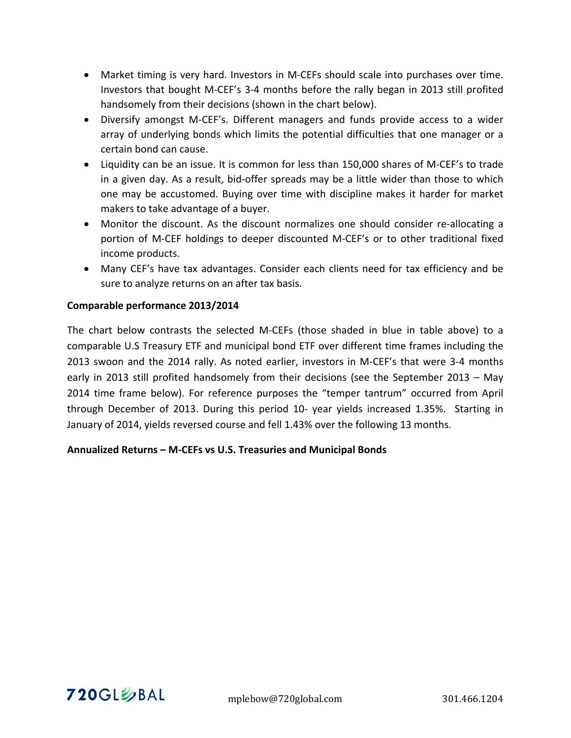- Market timing is very hard. Investors in M-CEFs should scale into purchases over time. Investors that bought M‐CEF's 3‐4 months before the rally began in 2013 still profited handsomely from their decisions (shown in the chart below).
- Diversify amongst M‐CEF's. Different managers and funds provide access to a wider array of underlying bonds which limits the potential difficulties that one manager or a certain bond can cause.
- Liquidity can be an issue. It is common for less than 150,000 shares of M‐CEF's to trade in a given day. As a result, bid‐offer spreads may be a little wider than those to which one may be accustomed. Buying over time with discipline makes it harder for market makers to take advantage of a buyer.
- Monitor the discount. As the discount normalizes one should consider re-allocating a portion of M‐CEF holdings to deeper discounted M‐CEF's or to other traditional fixed income products.
- Many CEF's have tax advantages. Consider each clients need for tax efficiency and be sure to analyze returns on an after tax basis.

## **Comparable performance 2013/2014**

The chart below contrasts the selected M‐CEFs (those shaded in blue in table above) to a comparable U.S Treasury ETF and municipal bond ETF over different time frames including the 2013 swoon and the 2014 rally. As noted earlier, investors in M‐CEF's that were 3‐4 months early in 2013 still profited handsomely from their decisions (see the September 2013 – May 2014 time frame below). For reference purposes the "temper tantrum" occurred from April through December of 2013. During this period 10‐ year yields increased 1.35%. Starting in January of 2014, yields reversed course and fell 1.43% over the following 13 months.

## **Annualized Returns – M‐CEFs vs U.S. Treasuries and Municipal Bonds**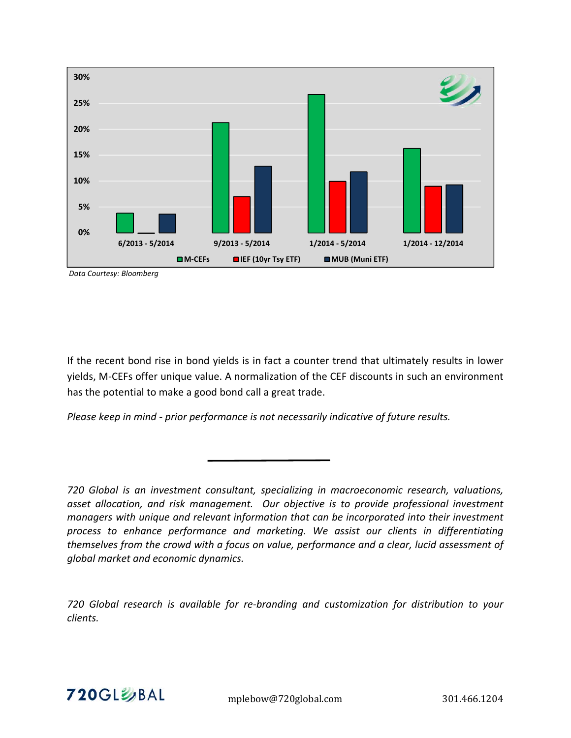

*Data Courtesy: Bloomberg*

If the recent bond rise in bond yields is in fact a counter trend that ultimately results in lower yields, M‐CEFs offer unique value. A normalization of the CEF discounts in such an environment has the potential to make a good bond call a great trade.

*Please keep in mind ‐ prior performance is not necessarily indicative of future results.* 

*720 Global research is available for re‐branding and customization for distribution to your clients.* 



*<sup>720</sup> Global is an investment consultant, specializing in macroeconomic research, valuations, asset allocation, and risk management. Our objective is to provide professional investment managers with unique and relevant information that can be incorporated into their investment process to enhance performance and marketing. We assist our clients in differentiating themselves from the crowd with a focus on value, performance and a clear, lucid assessment of global market and economic dynamics.*